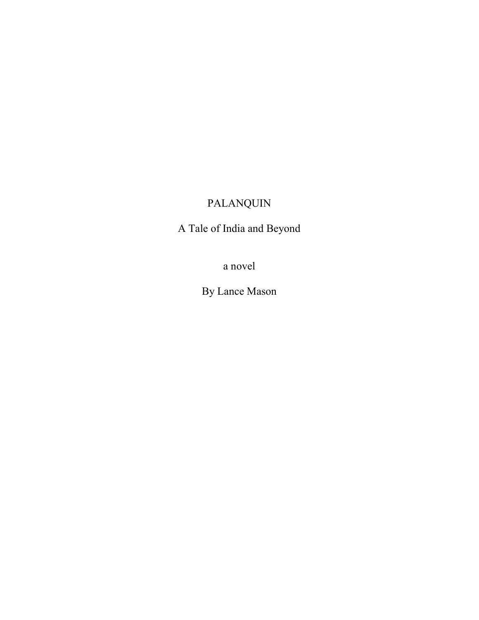# PALANQUIN

A Tale of India and Beyond

a novel

By Lance Mason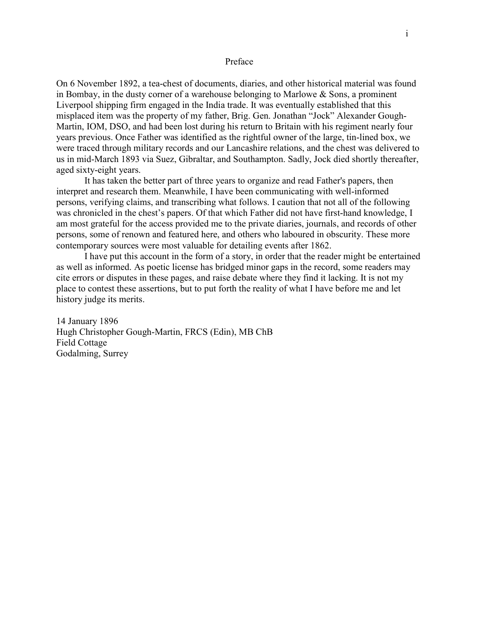## Preface

On 6 November 1892, a tea-chest of documents, diaries, and other historical material was found in Bombay, in the dusty corner of a warehouse belonging to Marlowe & Sons, a prominent Liverpool shipping firm engaged in the India trade. It was eventually established that this misplaced item was the property of my father, Brig. Gen. Jonathan "Jock" Alexander Gough-Martin, IOM, DSO, and had been lost during his return to Britain with his regiment nearly four years previous. Once Father was identified as the rightful owner of the large, tin-lined box, we were traced through military records and our Lancashire relations, and the chest was delivered to us in mid-March 1893 via Suez, Gibraltar, and Southampton. Sadly, Jock died shortly thereafter, aged sixty-eight years.

It has taken the better part of three years to organize and read Father's papers, then interpret and research them. Meanwhile, I have been communicating with well-informed persons, verifying claims, and transcribing what follows. I caution that not all of the following was chronicled in the chest's papers. Of that which Father did not have first-hand knowledge, I am most grateful for the access provided me to the private diaries, journals, and records of other persons, some of renown and featured here, and others who laboured in obscurity. These more contemporary sources were most valuable for detailing events after 1862.

I have put this account in the form of a story, in order that the reader might be entertained as well as informed. As poetic license has bridged minor gaps in the record, some readers may cite errors or disputes in these pages, and raise debate where they find it lacking. It is not my place to contest these assertions, but to put forth the reality of what I have before me and let history judge its merits.

14 January 1896 Hugh Christopher Gough-Martin, FRCS (Edin), MB ChB Field Cottage Godalming, Surrey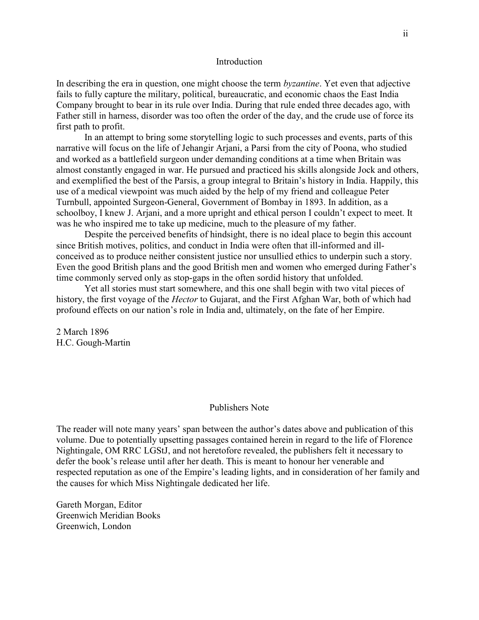## Introduction

In describing the era in question, one might choose the term byzantine. Yet even that adjective fails to fully capture the military, political, bureaucratic, and economic chaos the East India Company brought to bear in its rule over India. During that rule ended three decades ago, with Father still in harness, disorder was too often the order of the day, and the crude use of force its first path to profit.

In an attempt to bring some storytelling logic to such processes and events, parts of this narrative will focus on the life of Jehangir Arjani, a Parsi from the city of Poona, who studied and worked as a battlefield surgeon under demanding conditions at a time when Britain was almost constantly engaged in war. He pursued and practiced his skills alongside Jock and others, and exemplified the best of the Parsis, a group integral to Britain's history in India. Happily, this use of a medical viewpoint was much aided by the help of my friend and colleague Peter Turnbull, appointed Surgeon-General, Government of Bombay in 1893. In addition, as a schoolboy, I knew J. Arjani, and a more upright and ethical person I couldn't expect to meet. It was he who inspired me to take up medicine, much to the pleasure of my father.

Despite the perceived benefits of hindsight, there is no ideal place to begin this account since British motives, politics, and conduct in India were often that ill-informed and illconceived as to produce neither consistent justice nor unsullied ethics to underpin such a story. Even the good British plans and the good British men and women who emerged during Father's time commonly served only as stop-gaps in the often sordid history that unfolded.

Yet all stories must start somewhere, and this one shall begin with two vital pieces of history, the first voyage of the *Hector* to Gujarat, and the First Afghan War, both of which had profound effects on our nation's role in India and, ultimately, on the fate of her Empire.

2 March 1896 H.C. Gough-Martin

#### Publishers Note

The reader will note many years' span between the author's dates above and publication of this volume. Due to potentially upsetting passages contained herein in regard to the life of Florence Nightingale, OM RRC LGStJ, and not heretofore revealed, the publishers felt it necessary to defer the book's release until after her death. This is meant to honour her venerable and respected reputation as one of the Empire's leading lights, and in consideration of her family and the causes for which Miss Nightingale dedicated her life.

Gareth Morgan, Editor Greenwich Meridian Books Greenwich, London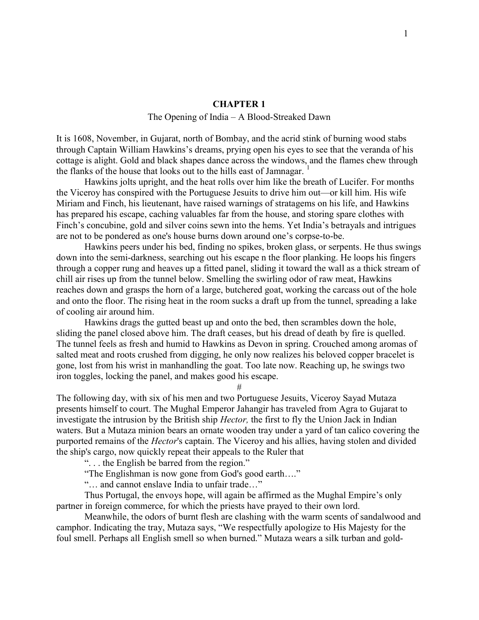# CHAPTER 1

# The Opening of India – A Blood-Streaked Dawn

It is 1608, November, in Gujarat, north of Bombay, and the acrid stink of burning wood stabs through Captain William Hawkins's dreams, prying open his eyes to see that the veranda of his cottage is alight. Gold and black shapes dance across the windows, and the flames chew through the flanks of the house that looks out to the hills east of Jamnagar.  $<sup>1</sup>$ </sup>

Hawkins jolts upright, and the heat rolls over him like the breath of Lucifer. For months the Viceroy has conspired with the Portuguese Jesuits to drive him out—or kill him. His wife Miriam and Finch, his lieutenant, have raised warnings of stratagems on his life, and Hawkins has prepared his escape, caching valuables far from the house, and storing spare clothes with Finch's concubine, gold and silver coins sewn into the hems. Yet India's betrayals and intrigues are not to be pondered as one's house burns down around one's corpse-to-be.

Hawkins peers under his bed, finding no spikes, broken glass, or serpents. He thus swings down into the semi-darkness, searching out his escape n the floor planking. He loops his fingers through a copper rung and heaves up a fitted panel, sliding it toward the wall as a thick stream of chill air rises up from the tunnel below. Smelling the swirling odor of raw meat, Hawkins reaches down and grasps the horn of a large, butchered goat, working the carcass out of the hole and onto the floor. The rising heat in the room sucks a draft up from the tunnel, spreading a lake of cooling air around him.

Hawkins drags the gutted beast up and onto the bed, then scrambles down the hole, sliding the panel closed above him. The draft ceases, but his dread of death by fire is quelled. The tunnel feels as fresh and humid to Hawkins as Devon in spring. Crouched among aromas of salted meat and roots crushed from digging, he only now realizes his beloved copper bracelet is gone, lost from his wrist in manhandling the goat. Too late now. Reaching up, he swings two iron toggles, locking the panel, and makes good his escape.

#

The following day, with six of his men and two Portuguese Jesuits, Viceroy Sayad Mutaza presents himself to court. The Mughal Emperor Jahangir has traveled from Agra to Gujarat to investigate the intrusion by the British ship *Hector*, the first to fly the Union Jack in Indian waters. But a Mutaza minion bears an ornate wooden tray under a yard of tan calico covering the purported remains of the Hector's captain. The Viceroy and his allies, having stolen and divided the ship's cargo, now quickly repeat their appeals to the Ruler that

". . . the English be barred from the region."

"The Englishman is now gone from God's good earth…."

"… and cannot enslave India to unfair trade…"

Thus Portugal, the envoys hope, will again be affirmed as the Mughal Empire's only partner in foreign commerce, for which the priests have prayed to their own lord.

Meanwhile, the odors of burnt flesh are clashing with the warm scents of sandalwood and camphor. Indicating the tray, Mutaza says, "We respectfully apologize to His Majesty for the foul smell. Perhaps all English smell so when burned." Mutaza wears a silk turban and gold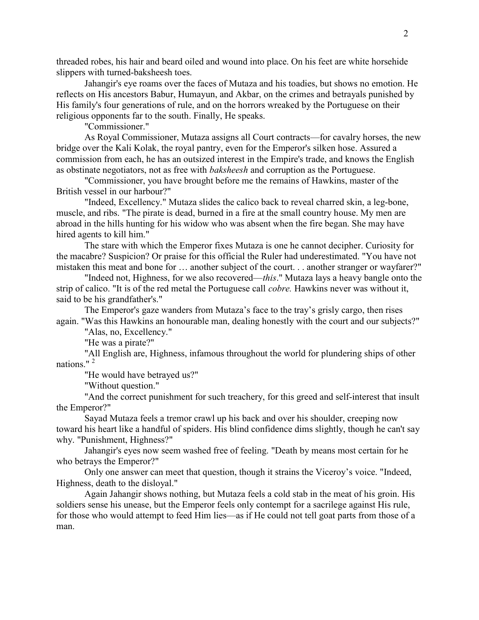threaded robes, his hair and beard oiled and wound into place. On his feet are white horsehide slippers with turned-baksheesh toes.

Jahangir's eye roams over the faces of Mutaza and his toadies, but shows no emotion. He reflects on His ancestors Babur, Humayun, and Akbar, on the crimes and betrayals punished by His family's four generations of rule, and on the horrors wreaked by the Portuguese on their religious opponents far to the south. Finally, He speaks.

"Commissioner."

As Royal Commissioner, Mutaza assigns all Court contracts—for cavalry horses, the new bridge over the Kali Kolak, the royal pantry, even for the Emperor's silken hose. Assured a commission from each, he has an outsized interest in the Empire's trade, and knows the English as obstinate negotiators, not as free with baksheesh and corruption as the Portuguese.

"Commissioner, you have brought before me the remains of Hawkins, master of the British vessel in our harbour?"

"Indeed, Excellency." Mutaza slides the calico back to reveal charred skin, a leg-bone, muscle, and ribs. "The pirate is dead, burned in a fire at the small country house. My men are abroad in the hills hunting for his widow who was absent when the fire began. She may have hired agents to kill him."

The stare with which the Emperor fixes Mutaza is one he cannot decipher. Curiosity for the macabre? Suspicion? Or praise for this official the Ruler had underestimated. "You have not mistaken this meat and bone for … another subject of the court. . . another stranger or wayfarer?"

"Indeed not, Highness, for we also recovered—this." Mutaza lays a heavy bangle onto the strip of calico. "It is of the red metal the Portuguese call cobre. Hawkins never was without it, said to be his grandfather's."

The Emperor's gaze wanders from Mutaza's face to the tray's grisly cargo, then rises again. "Was this Hawkins an honourable man, dealing honestly with the court and our subjects?"

"Alas, no, Excellency."

"He was a pirate?"

"All English are, Highness, infamous throughout the world for plundering ships of other nations."<sup>2</sup>

"He would have betrayed us?"

"Without question."

"And the correct punishment for such treachery, for this greed and self-interest that insult the Emperor?"

Sayad Mutaza feels a tremor crawl up his back and over his shoulder, creeping now toward his heart like a handful of spiders. His blind confidence dims slightly, though he can't say why. "Punishment, Highness?"

Jahangir's eyes now seem washed free of feeling. "Death by means most certain for he who betrays the Emperor?"

Only one answer can meet that question, though it strains the Viceroy's voice. "Indeed, Highness, death to the disloyal."

Again Jahangir shows nothing, but Mutaza feels a cold stab in the meat of his groin. His soldiers sense his unease, but the Emperor feels only contempt for a sacrilege against His rule, for those who would attempt to feed Him lies—as if He could not tell goat parts from those of a man.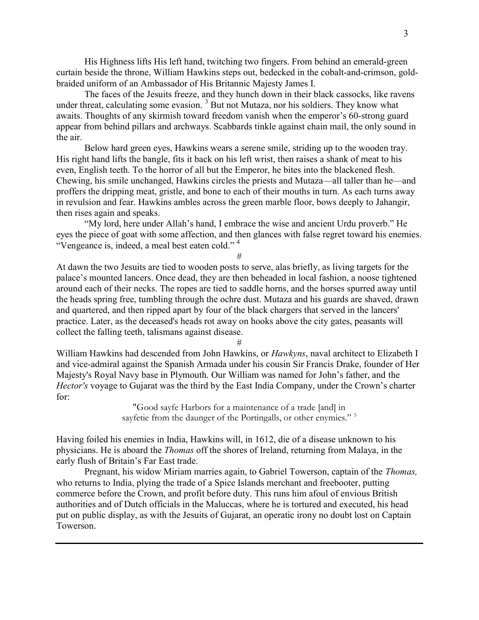His Highness lifts His left hand, twitching two fingers. From behind an emerald-green curtain beside the throne, William Hawkins steps out, bedecked in the cobalt-and-crimson, goldbraided uniform of an Ambassador of His Britannic Majesty James I.

The faces of the Jesuits freeze, and they hunch down in their black cassocks, like ravens under threat, calculating some evasion.  $3$  But not Mutaza, nor his soldiers. They know what awaits. Thoughts of any skirmish toward freedom vanish when the emperor's 60-strong guard appear from behind pillars and archways. Scabbards tinkle against chain mail, the only sound in the air.

Below hard green eyes, Hawkins wears a serene smile, striding up to the wooden tray. His right hand lifts the bangle, fits it back on his left wrist, then raises a shank of meat to his even, English teeth. To the horror of all but the Emperor, he bites into the blackened flesh. Chewing, his smile unchanged, Hawkins circles the priests and Mutaza—all taller than he—and proffers the dripping meat, gristle, and bone to each of their mouths in turn. As each turns away in revulsion and fear. Hawkins ambles across the green marble floor, bows deeply to Jahangir, then rises again and speaks.

"My lord, here under Allah's hand, I embrace the wise and ancient Urdu proverb." He eyes the piece of goat with some affection, and then glances with false regret toward his enemies. "Vengeance is, indeed, a meal best eaten cold."<sup>4</sup>

#

At dawn the two Jesuits are tied to wooden posts to serve, alas briefly, as living targets for the palace's mounted lancers. Once dead, they are then beheaded in local fashion, a noose tightened around each of their necks. The ropes are tied to saddle horns, and the horses spurred away until the heads spring free, tumbling through the ochre dust. Mutaza and his guards are shaved, drawn and quartered, and then ripped apart by four of the black chargers that served in the lancers' practice. Later, as the deceased's heads rot away on hooks above the city gates, peasants will collect the falling teeth, talismans against disease.

#

William Hawkins had descended from John Hawkins, or *Hawkyns*, naval architect to Elizabeth I and vice-admiral against the Spanish Armada under his cousin Sir Francis Drake, founder of Her Majesty's Royal Navy base in Plymouth. Our William was named for John's father, and the Hector's voyage to Gujarat was the third by the East India Company, under the Crown's charter for:

> "Good sayfe Harbors for a maintenance of a trade [and] in sayfetie from the daunger of the Portingalls, or other enymies."<sup>5</sup>

Having foiled his enemies in India, Hawkins will, in 1612, die of a disease unknown to his physicians. He is aboard the Thomas off the shores of Ireland, returning from Malaya, in the early flush of Britain's Far East trade.

Pregnant, his widow Miriam marries again, to Gabriel Towerson, captain of the *Thomas*, who returns to India, plying the trade of a Spice Islands merchant and freebooter, putting commerce before the Crown, and profit before duty. This runs him afoul of envious British authorities and of Dutch officials in the Maluccas, where he is tortured and executed, his head put on public display, as with the Jesuits of Gujarat, an operatic irony no doubt lost on Captain Towerson.